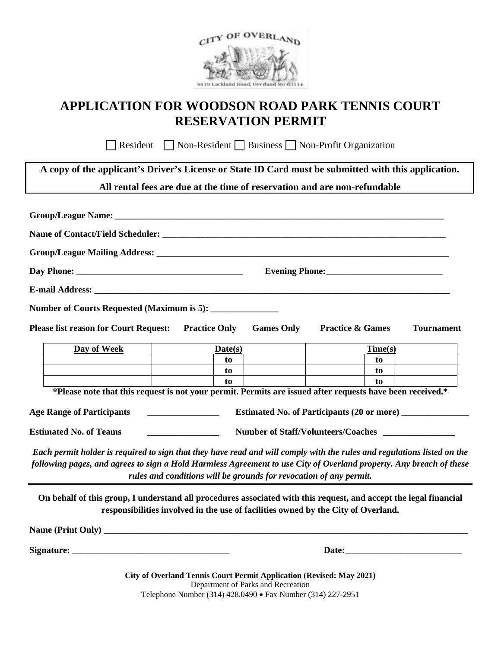

## **APPLICATION FOR WOODSON ROAD PARK TENNIS COURT RESERVATION PERMIT**

Resident Non-Resident Business Non-Profit Organization

| A copy of the applicant's Driver's License or State ID Card must be submitted with this application.                                                                                                                                           |                                                                    |                                    | All rental fees are due at the time of reservation and are non-refundable         |                   |
|------------------------------------------------------------------------------------------------------------------------------------------------------------------------------------------------------------------------------------------------|--------------------------------------------------------------------|------------------------------------|-----------------------------------------------------------------------------------|-------------------|
|                                                                                                                                                                                                                                                |                                                                    |                                    |                                                                                   |                   |
|                                                                                                                                                                                                                                                |                                                                    |                                    |                                                                                   |                   |
|                                                                                                                                                                                                                                                |                                                                    |                                    |                                                                                   |                   |
|                                                                                                                                                                                                                                                |                                                                    |                                    |                                                                                   |                   |
|                                                                                                                                                                                                                                                |                                                                    |                                    |                                                                                   |                   |
| Number of Courts Requested (Maximum is 5): _______________                                                                                                                                                                                     |                                                                    |                                    |                                                                                   |                   |
| <b>Please list reason for Court Request:</b>                                                                                                                                                                                                   | <b>Practice Only</b>                                               | <b>Games Only</b>                  | <b>Practice &amp; Games</b>                                                       | <b>Tournament</b> |
| Day of Week                                                                                                                                                                                                                                    | Date(s)                                                            |                                    | Time(s)                                                                           |                   |
|                                                                                                                                                                                                                                                | to                                                                 |                                    | to                                                                                |                   |
|                                                                                                                                                                                                                                                | to<br>to                                                           |                                    | to<br>to                                                                          |                   |
| *Please note that this request is not your permit. Permits are issued after requests have been received.*                                                                                                                                      |                                                                    |                                    |                                                                                   |                   |
| <b>Age Range of Participants</b>                                                                                                                                                                                                               | <u> 1989 - Johann Barbara, martxa eta p</u>                        |                                    |                                                                                   |                   |
| <b>Estimated No. of Teams</b>                                                                                                                                                                                                                  |                                                                    |                                    |                                                                                   |                   |
| Each permit holder is required to sign that they have read and will comply with the rules and regulations listed on the<br>following pages, and agrees to sign a Hold Harmless Agreement to use City of Overland property. Any breach of these | rules and conditions will be grounds for revocation of any permit. |                                    |                                                                                   |                   |
| On behalf of this group, I understand all procedures associated with this request, and accept the legal financial                                                                                                                              |                                                                    |                                    | responsibilities involved in the use of facilities owned by the City of Overland. |                   |
| Name (Print Only)                                                                                                                                                                                                                              |                                                                    |                                    |                                                                                   |                   |
|                                                                                                                                                                                                                                                |                                                                    |                                    | Date:                                                                             |                   |
|                                                                                                                                                                                                                                                | Telephone Number (314) 428.0490 • Fax Number (314) 227-2951        | Department of Parks and Recreation | City of Overland Tennis Court Permit Application (Revised: May 2021)              |                   |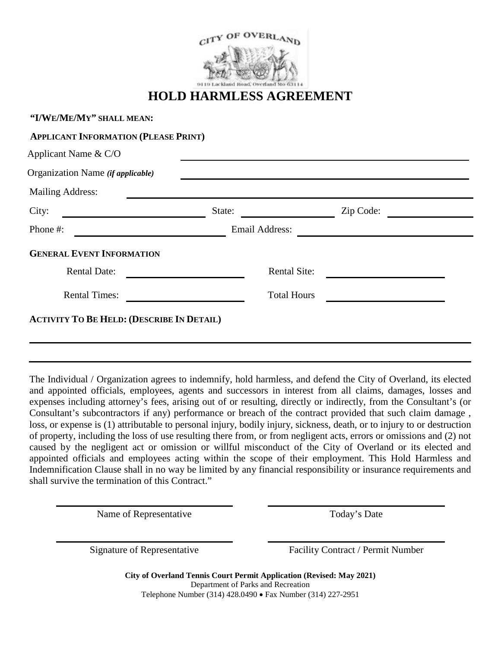

#### **HOLD HARMLESS AGREEMENT**

| <b>APPLICANT INFORMATION (PLEASE PRINT)</b>      |        |                       |           |  |
|--------------------------------------------------|--------|-----------------------|-----------|--|
| Applicant Name & C/O                             |        |                       |           |  |
| Organization Name ( <i>if applicable</i> )       |        |                       |           |  |
| <b>Mailing Address:</b>                          |        |                       |           |  |
| City:                                            | State: |                       | Zip Code: |  |
| Phone #:                                         |        | <b>Email Address:</b> |           |  |
| <b>GENERAL EVENT INFORMATION</b>                 |        |                       |           |  |
| <b>Rental Date:</b>                              |        | <b>Rental Site:</b>   |           |  |
| <b>Rental Times:</b>                             |        | <b>Total Hours</b>    |           |  |
| <b>ACTIVITY TO BE HELD: (DESCRIBE IN DETAIL)</b> |        |                       |           |  |

The Individual / Organization agrees to indemnify, hold harmless, and defend the City of Overland, its elected and appointed officials, employees, agents and successors in interest from all claims, damages, losses and expenses including attorney's fees, arising out of or resulting, directly or indirectly, from the Consultant's (or Consultant's subcontractors if any) performance or breach of the contract provided that such claim damage , loss, or expense is (1) attributable to personal injury, bodily injury, sickness, death, or to injury to or destruction of property, including the loss of use resulting there from, or from negligent acts, errors or omissions and (2) not caused by the negligent act or omission or willful misconduct of the City of Overland or its elected and appointed officials and employees acting within the scope of their employment. This Hold Harmless and Indemnification Clause shall in no way be limited by any financial responsibility or insurance requirements and shall survive the termination of this Contract."

Name of Representative Today's Date

Signature of Representative Facility Contract / Permit Number

**City of Overland Tennis Court Permit Application (Revised: May 2021)** Department of Parks and Recreation Telephone Number (314) 428.0490 • Fax Number (314) 227-2951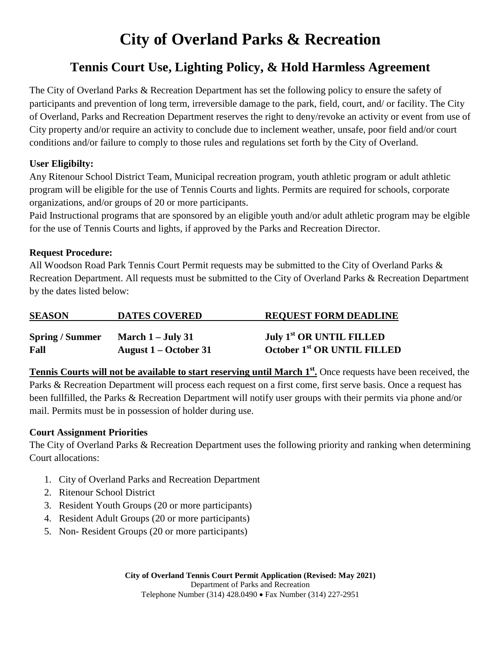## **City of Overland Parks & Recreation**

## **Tennis Court Use, Lighting Policy, & Hold Harmless Agreement**

The City of Overland Parks & Recreation Department has set the following policy to ensure the safety of participants and prevention of long term, irreversible damage to the park, field, court, and/ or facility. The City of Overland, Parks and Recreation Department reserves the right to deny/revoke an activity or event from use of City property and/or require an activity to conclude due to inclement weather, unsafe, poor field and/or court conditions and/or failure to comply to those rules and regulations set forth by the City of Overland.

#### **User Eligibilty:**

Any Ritenour School District Team, Municipal recreation program, youth athletic program or adult athletic program will be eligible for the use of Tennis Courts and lights. Permits are required for schools, corporate organizations, and/or groups of 20 or more participants.

Paid Instructional programs that are sponsored by an eligible youth and/or adult athletic program may be elgible for the use of Tennis Courts and lights, if approved by the Parks and Recreation Director.

#### **Request Procedure:**

All Woodson Road Park Tennis Court Permit requests may be submitted to the City of Overland Parks & Recreation Department. All requests must be submitted to the City of Overland Parks & Recreation Department by the dates listed below:

| <b>SEASON</b>          | <b>DATES COVERED</b>  | <b>REQUEST FORM DEADLINE</b>            |
|------------------------|-----------------------|-----------------------------------------|
| <b>Spring / Summer</b> | March $1 -$ July 31   | <b>July 1st OR UNTIL FILLED</b>         |
| Fall                   | August 1 – October 31 | October 1 <sup>st</sup> OR UNTIL FILLED |

**Tennis Courts will not be available to start reserving until March 1<sup>st</sup>. Once requests have been received, the** Parks & Recreation Department will process each request on a first come, first serve basis. Once a request has been fullfilled, the Parks & Recreation Department will notify user groups with their permits via phone and/or mail. Permits must be in possession of holder during use.

#### **Court Assignment Priorities**

The City of Overland Parks & Recreation Department uses the following priority and ranking when determining Court allocations:

- 1. City of Overland Parks and Recreation Department
- 2. Ritenour School District
- 3. Resident Youth Groups (20 or more participants)
- 4. Resident Adult Groups (20 or more participants)
- 5. Non- Resident Groups (20 or more participants)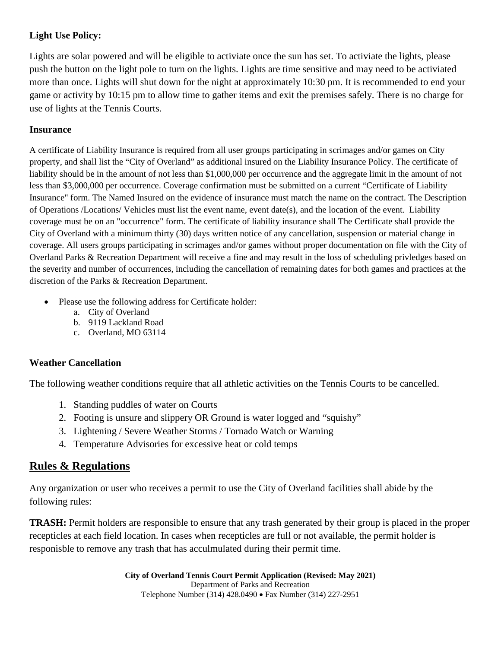#### **Light Use Policy:**

Lights are solar powered and will be eligible to activiate once the sun has set. To activiate the lights, please push the button on the light pole to turn on the lights. Lights are time sensitive and may need to be activiated more than once. Lights will shut down for the night at approximately 10:30 pm. It is recommended to end your game or activity by 10:15 pm to allow time to gather items and exit the premises safely. There is no charge for use of lights at the Tennis Courts.

#### **Insurance**

A certificate of Liability Insurance is required from all user groups participating in scrimages and/or games on City property, and shall list the "City of Overland" as additional insured on the Liability Insurance Policy. The certificate of liability should be in the amount of not less than \$1,000,000 per occurrence and the aggregate limit in the amount of not less than \$3,000,000 per occurrence. Coverage confirmation must be submitted on a current "Certificate of Liability Insurance" form. The Named Insured on the evidence of insurance must match the name on the contract. The Description of Operations /Locations/ Vehicles must list the event name, event date(s), and the location of the event. Liability coverage must be on an "occurrence" form. The certificate of liability insurance shall The Certificate shall provide the City of Overland with a minimum thirty (30) days written notice of any cancellation, suspension or material change in coverage. All users groups participating in scrimages and/or games without proper documentation on file with the City of Overland Parks & Recreation Department will receive a fine and may result in the loss of scheduling privledges based on the severity and number of occurrences, including the cancellation of remaining dates for both games and practices at the discretion of the Parks & Recreation Department.

- Please use the following address for Certificate holder:
	- a. City of Overland
	- b. 9119 Lackland Road
	- c. Overland, MO 63114

#### **Weather Cancellation**

The following weather conditions require that all athletic activities on the Tennis Courts to be cancelled.

- 1. Standing puddles of water on Courts
- 2. Footing is unsure and slippery OR Ground is water logged and "squishy"
- 3. Lightening / Severe Weather Storms / Tornado Watch or Warning
- 4. Temperature Advisories for excessive heat or cold temps

#### **Rules & Regulations**

Any organization or user who receives a permit to use the City of Overland facilities shall abide by the following rules:

**TRASH:** Permit holders are responsible to ensure that any trash generated by their group is placed in the proper recepticles at each field location. In cases when recepticles are full or not available, the permit holder is responisble to remove any trash that has acculmulated during their permit time.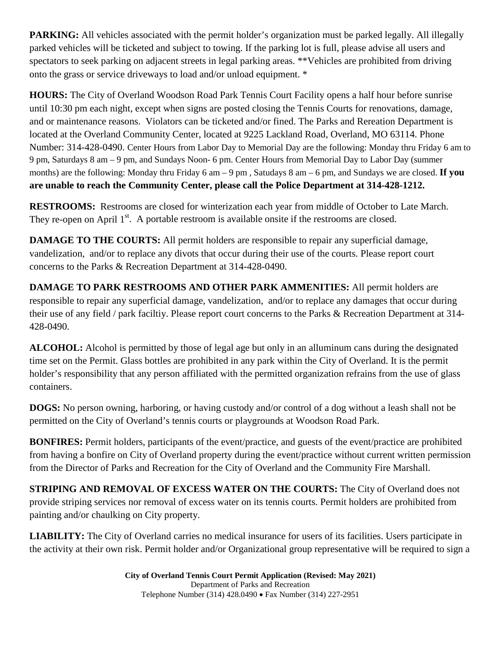**PARKING:** All vehicles associated with the permit holder's organization must be parked legally. All illegally parked vehicles will be ticketed and subject to towing. If the parking lot is full, please advise all users and spectators to seek parking on adjacent streets in legal parking areas. \*\*Vehicles are prohibited from driving onto the grass or service driveways to load and/or unload equipment. \*

**HOURS:** The City of Overland Woodson Road Park Tennis Court Facility opens a half hour before sunrise until 10:30 pm each night, except when signs are posted closing the Tennis Courts for renovations, damage, and or maintenance reasons. Violators can be ticketed and/or fined. The Parks and Rereation Department is located at the Overland Community Center, located at 9225 Lackland Road, Overland, MO 63114. Phone Number: 314-428-0490. Center Hours from Labor Day to Memorial Day are the following: Monday thru Friday 6 am to 9 pm, Saturdays 8 am – 9 pm, and Sundays Noon- 6 pm. Center Hours from Memorial Day to Labor Day (summer months) are the following: Monday thru Friday 6 am – 9 pm , Satudays 8 am – 6 pm, and Sundays we are closed. **If you are unable to reach the Community Center, please call the Police Department at 314-428-1212.** 

**RESTROOMS:** Restrooms are closed for winterization each year from middle of October to Late March. They re-open on April 1<sup>st</sup>. A portable restroom is available onsite if the restrooms are closed.

**DAMAGE TO THE COURTS:** All permit holders are responsible to repair any superficial damage, vandelization, and/or to replace any divots that occur during their use of the courts. Please report court concerns to the Parks & Recreation Department at 314-428-0490.

**DAMAGE TO PARK RESTROOMS AND OTHER PARK AMMENITIES:** All permit holders are responsible to repair any superficial damage, vandelization, and/or to replace any damages that occur during their use of any field / park faciltiy. Please report court concerns to the Parks & Recreation Department at 314- 428-0490.

**ALCOHOL:** Alcohol is permitted by those of legal age but only in an alluminum cans during the designated time set on the Permit. Glass bottles are prohibited in any park within the City of Overland. It is the permit holder's responsibility that any person affiliated with the permitted organization refrains from the use of glass containers.

**DOGS:** No person owning, harboring, or having custody and/or control of a dog without a leash shall not be permitted on the City of Overland's tennis courts or playgrounds at Woodson Road Park.

**BONFIRES:** Permit holders, participants of the event/practice, and guests of the event/practice are prohibited from having a bonfire on City of Overland property during the event/practice without current written permission from the Director of Parks and Recreation for the City of Overland and the Community Fire Marshall.

**STRIPING AND REMOVAL OF EXCESS WATER ON THE COURTS:** The City of Overland does not provide striping services nor removal of excess water on its tennis courts. Permit holders are prohibited from painting and/or chaulking on City property.

**LIABILITY:** The City of Overland carries no medical insurance for users of its facilities. Users participate in the activity at their own risk. Permit holder and/or Organizational group representative will be required to sign a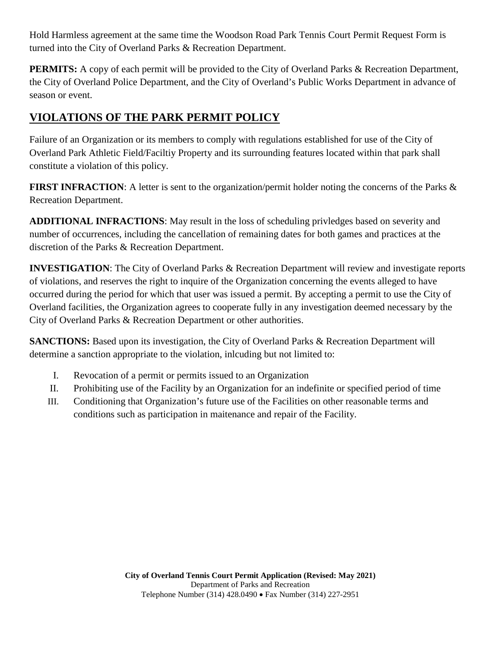Hold Harmless agreement at the same time the Woodson Road Park Tennis Court Permit Request Form is turned into the City of Overland Parks & Recreation Department.

**PERMITS:** A copy of each permit will be provided to the City of Overland Parks & Recreation Department, the City of Overland Police Department, and the City of Overland's Public Works Department in advance of season or event.

### **VIOLATIONS OF THE PARK PERMIT POLICY**

Failure of an Organization or its members to comply with regulations established for use of the City of Overland Park Athletic Field/Faciltiy Property and its surrounding features located within that park shall constitute a violation of this policy.

**FIRST INFRACTION:** A letter is sent to the organization/permit holder noting the concerns of the Parks & Recreation Department.

**ADDITIONAL INFRACTIONS**: May result in the loss of scheduling privledges based on severity and number of occurrences, including the cancellation of remaining dates for both games and practices at the discretion of the Parks & Recreation Department.

**INVESTIGATION:** The City of Overland Parks & Recreation Department will review and investigate reports of violations, and reserves the right to inquire of the Organization concerning the events alleged to have occurred during the period for which that user was issued a permit. By accepting a permit to use the City of Overland facilities, the Organization agrees to cooperate fully in any investigation deemed necessary by the City of Overland Parks & Recreation Department or other authorities.

**SANCTIONS:** Based upon its investigation, the City of Overland Parks & Recreation Department will determine a sanction appropriate to the violation, inlcuding but not limited to:

- I. Revocation of a permit or permits issued to an Organization
- II. Prohibiting use of the Facility by an Organization for an indefinite or specified period of time
- III. Conditioning that Organization's future use of the Facilities on other reasonable terms and conditions such as participation in maitenance and repair of the Facility.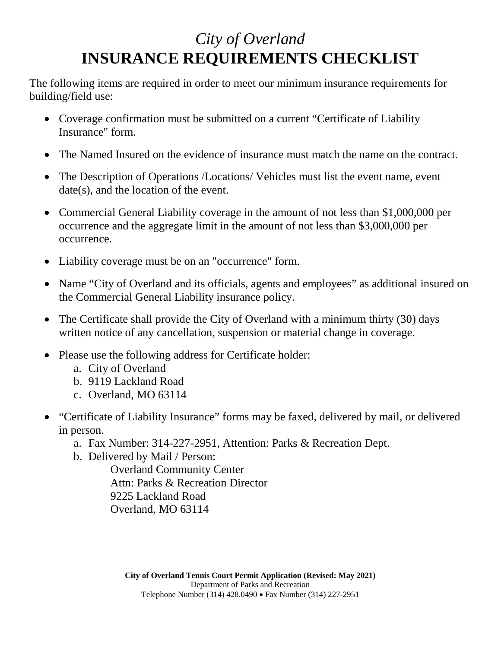# *City of Overland* **INSURANCE REQUIREMENTS CHECKLIST**

The following items are required in order to meet our minimum insurance requirements for building/field use:

- Coverage confirmation must be submitted on a current "Certificate of Liability Insurance" form.
- The Named Insured on the evidence of insurance must match the name on the contract.
- The Description of Operations / Locations / Vehicles must list the event name, event date(s), and the location of the event.
- Commercial General Liability coverage in the amount of not less than \$1,000,000 per occurrence and the aggregate limit in the amount of not less than \$3,000,000 per occurrence.
- Liability coverage must be on an "occurrence" form.
- Name "City of Overland and its officials, agents and employees" as additional insured on the Commercial General Liability insurance policy.
- The Certificate shall provide the City of Overland with a minimum thirty (30) days written notice of any cancellation, suspension or material change in coverage.
- Please use the following address for Certificate holder:
	- a. City of Overland
	- b. 9119 Lackland Road
	- c. Overland, MO 63114
- "Certificate of Liability Insurance" forms may be faxed, delivered by mail, or delivered in person.
	- a. Fax Number: 314-227-2951, Attention: Parks & Recreation Dept.
	- b. Delivered by Mail / Person:

Overland Community Center Attn: Parks & Recreation Director 9225 Lackland Road Overland, MO 63114